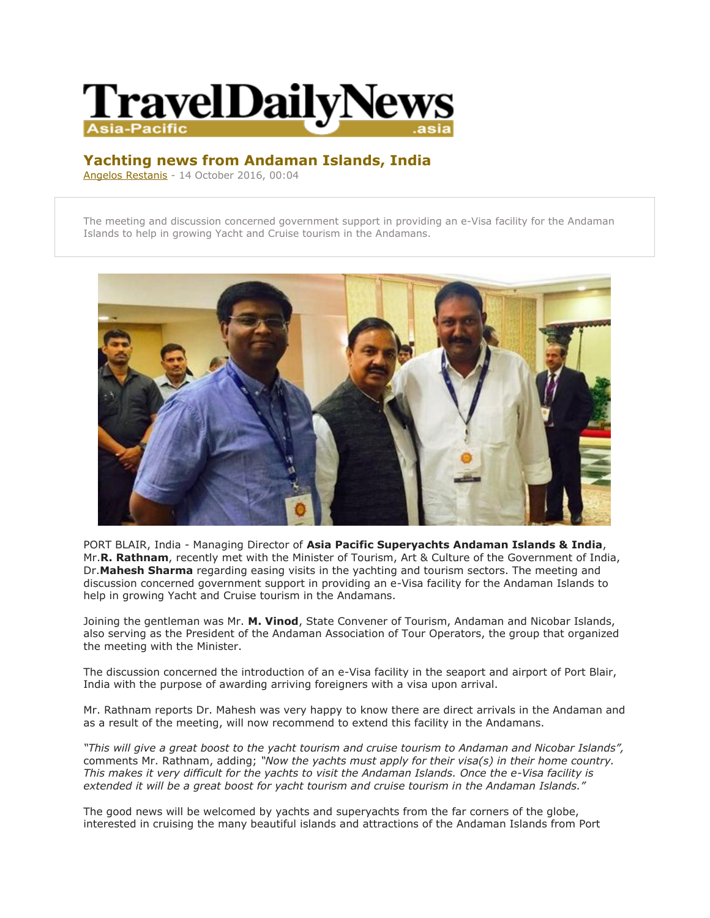

## **Yachting news from Andaman Islands, India**

[Angelos Restanis](mailto:press@traveldailynews.asia) - 14 October 2016, 00:04

The meeting and discussion concerned government support in providing an e-Visa facility for the Andaman Islands to help in growing Yacht and Cruise tourism in the Andamans.



PORT BLAIR, India - Managing Director of **Asia Pacific Superyachts Andaman Islands & India**, Mr.**R. Rathnam**, recently met with the Minister of Tourism, Art & Culture of the Government of India, Dr.**Mahesh Sharma** regarding easing visits in the yachting and tourism sectors. The meeting and discussion concerned government support in providing an e-Visa facility for the Andaman Islands to help in growing Yacht and Cruise tourism in the Andamans.

Joining the gentleman was Mr. **M. Vinod**, State Convener of Tourism, Andaman and Nicobar Islands, also serving as the President of the Andaman Association of Tour Operators, the group that organized the meeting with the Minister.

The discussion concerned the introduction of an e-Visa facility in the seaport and airport of Port Blair, India with the purpose of awarding arriving foreigners with a visa upon arrival.

Mr. Rathnam reports Dr. Mahesh was very happy to know there are direct arrivals in the Andaman and as a result of the meeting, will now recommend to extend this facility in the Andamans.

*"This will give a great boost to the yacht tourism and cruise tourism to Andaman and Nicobar Islands",* comments Mr. Rathnam, adding; *"Now the yachts must apply for their visa(s) in their home country. This makes it very difficult for the yachts to visit the Andaman Islands. Once the e-Visa facility is extended it will be a great boost for yacht tourism and cruise tourism in the Andaman Islands."*

The good news will be welcomed by yachts and superyachts from the far corners of the globe, interested in cruising the many beautiful islands and attractions of the Andaman Islands from Port